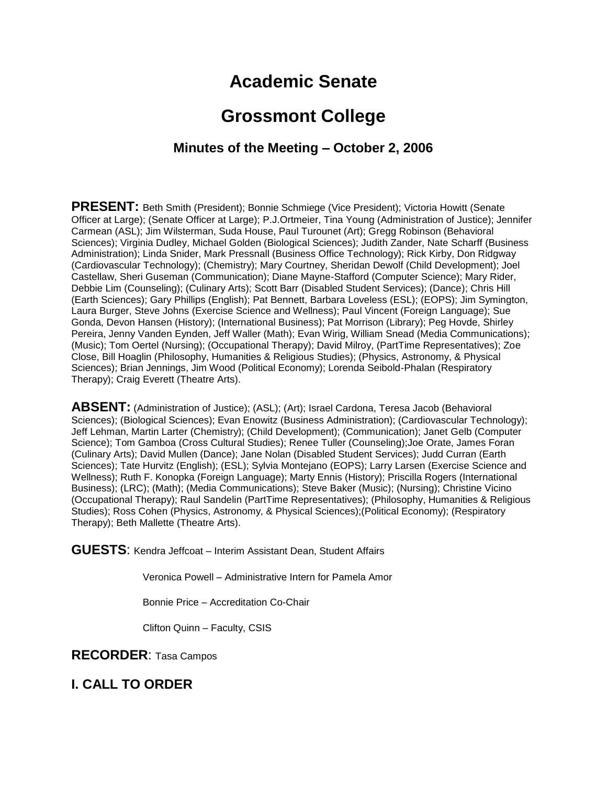# **Academic Senate**

# **Grossmont College**

#### **Minutes of the Meeting – October 2, 2006**

**PRESENT:** Beth Smith (President); Bonnie Schmiege (Vice President); Victoria Howitt (Senate Officer at Large); (Senate Officer at Large); P.J.Ortmeier, Tina Young (Administration of Justice); Jennifer Carmean (ASL); Jim Wilsterman, Suda House, Paul Turounet (Art); Gregg Robinson (Behavioral Sciences); Virginia Dudley, Michael Golden (Biological Sciences); Judith Zander, Nate Scharff (Business Administration); Linda Snider, Mark Pressnall (Business Office Technology); Rick Kirby, Don Ridgway (Cardiovascular Technology); (Chemistry); Mary Courtney, Sheridan Dewolf (Child Development); Joel Castellaw, Sheri Guseman (Communication); Diane Mayne-Stafford (Computer Science); Mary Rider, Debbie Lim (Counseling); (Culinary Arts); Scott Barr (Disabled Student Services); (Dance); Chris Hill (Earth Sciences); Gary Phillips (English); Pat Bennett, Barbara Loveless (ESL); (EOPS); Jim Symington, Laura Burger, Steve Johns (Exercise Science and Wellness); Paul Vincent (Foreign Language); Sue Gonda, Devon Hansen (History); (International Business); Pat Morrison (Library); Peg Hovde, Shirley Pereira, Jenny Vanden Eynden, Jeff Waller (Math); Evan Wirig, William Snead (Media Communications); (Music); Tom Oertel (Nursing); (Occupational Therapy); David Milroy, (PartTime Representatives); Zoe Close, Bill Hoaglin (Philosophy, Humanities & Religious Studies); (Physics, Astronomy, & Physical Sciences); Brian Jennings, Jim Wood (Political Economy); Lorenda Seibold-Phalan (Respiratory Therapy); Craig Everett (Theatre Arts).

**ABSENT:** (Administration of Justice); (ASL); (Art); Israel Cardona, Teresa Jacob (Behavioral Sciences); (Biological Sciences); Evan Enowitz (Business Administration); (Cardiovascular Technology); Jeff Lehman, Martin Larter (Chemistry); (Child Development); (Communication); Janet Gelb (Computer Science); Tom Gamboa (Cross Cultural Studies); Renee Tuller (Counseling);Joe Orate, James Foran (Culinary Arts); David Mullen (Dance); Jane Nolan (Disabled Student Services); Judd Curran (Earth Sciences); Tate Hurvitz (English); (ESL); Sylvia Montejano (EOPS); Larry Larsen (Exercise Science and Wellness); Ruth F. Konopka (Foreign Language); Marty Ennis (History); Priscilla Rogers (International Business); (LRC); (Math); (Media Communications); Steve Baker (Music); (Nursing); Christine Vicino (Occupational Therapy); Raul Sandelin (PartTime Representatives); (Philosophy, Humanities & Religious Studies); Ross Cohen (Physics, Astronomy, & Physical Sciences);(Political Economy); (Respiratory Therapy); Beth Mallette (Theatre Arts).

**GUESTS**: Kendra Jeffcoat – Interim Assistant Dean, Student Affairs

Veronica Powell – Administrative Intern for Pamela Amor

Bonnie Price – Accreditation Co-Chair

Clifton Quinn – Faculty, CSIS

**RECORDER**: Tasa Campos

**I. CALL TO ORDER**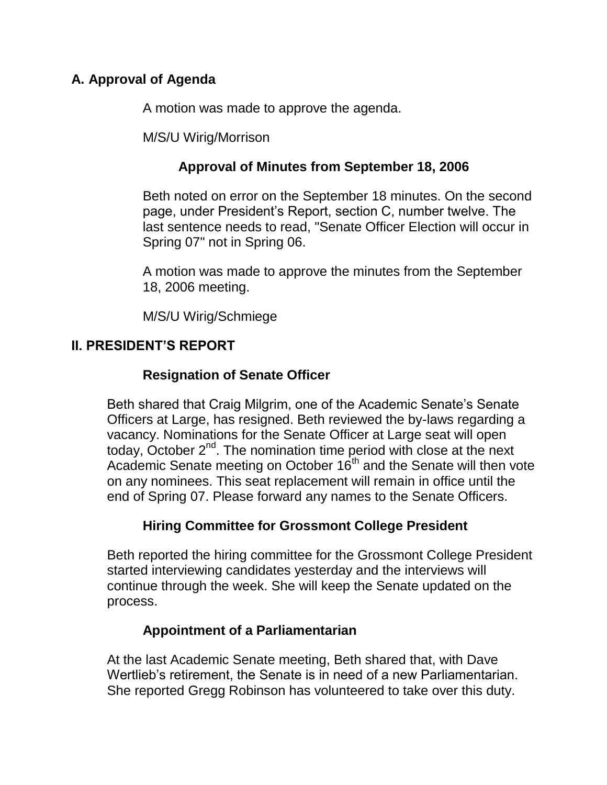## **A. Approval of Agenda**

A motion was made to approve the agenda.

M/S/U Wirig/Morrison

## **Approval of Minutes from September 18, 2006**

Beth noted on error on the September 18 minutes. On the second page, under President's Report, section C, number twelve. The last sentence needs to read, "Senate Officer Election will occur in Spring 07" not in Spring 06.

A motion was made to approve the minutes from the September 18, 2006 meeting.

M/S/U Wirig/Schmiege

## **II. PRESIDENT'S REPORT**

## **Resignation of Senate Officer**

Beth shared that Craig Milgrim, one of the Academic Senate's Senate Officers at Large, has resigned. Beth reviewed the by-laws regarding a vacancy. Nominations for the Senate Officer at Large seat will open today, October 2<sup>nd</sup>. The nomination time period with close at the next Academic Senate meeting on October  $16<sup>th</sup>$  and the Senate will then vote on any nominees. This seat replacement will remain in office until the end of Spring 07. Please forward any names to the Senate Officers.

## **Hiring Committee for Grossmont College President**

Beth reported the hiring committee for the Grossmont College President started interviewing candidates yesterday and the interviews will continue through the week. She will keep the Senate updated on the process.

## **Appointment of a Parliamentarian**

At the last Academic Senate meeting, Beth shared that, with Dave Wertlieb's retirement, the Senate is in need of a new Parliamentarian. She reported Gregg Robinson has volunteered to take over this duty.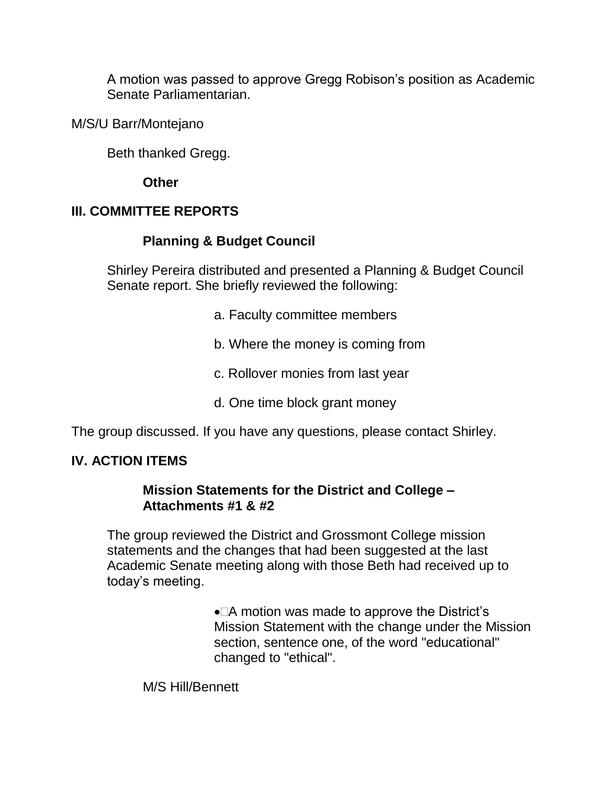A motion was passed to approve Gregg Robison's position as Academic Senate Parliamentarian.

M/S/U Barr/Montejano

Beth thanked Gregg.

#### **Other**

## **III. COMMITTEE REPORTS**

## **Planning & Budget Council**

Shirley Pereira distributed and presented a Planning & Budget Council Senate report. She briefly reviewed the following:

- a. Faculty committee members
- b. Where the money is coming from
- c. Rollover monies from last year
- d. One time block grant money

The group discussed. If you have any questions, please contact Shirley.

## **IV. ACTION ITEMS**

#### **Mission Statements for the District and College – Attachments #1 & #2**

The group reviewed the District and Grossmont College mission statements and the changes that had been suggested at the last Academic Senate meeting along with those Beth had received up to today's meeting.

> $\bullet$   $\Box$  A motion was made to approve the District's Mission Statement with the change under the Mission section, sentence one, of the word "educational" changed to "ethical".

M/S Hill/Bennett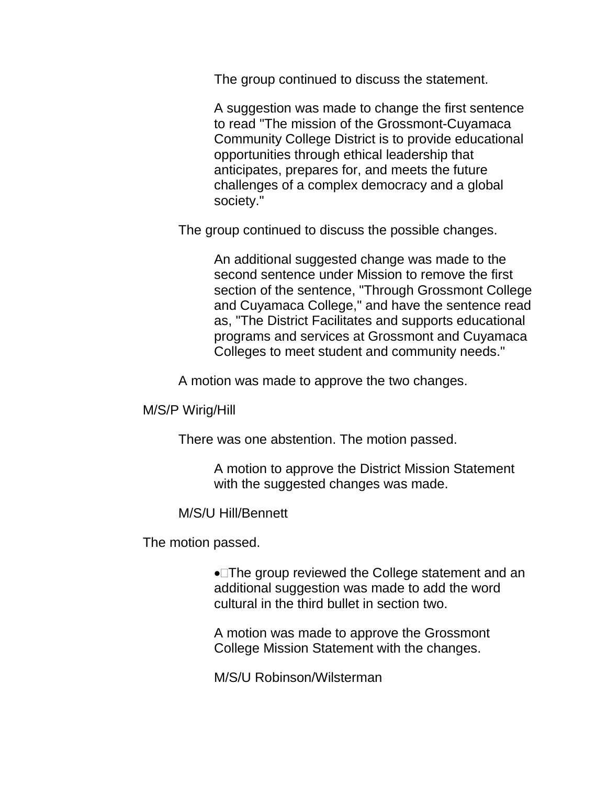The group continued to discuss the statement.

A suggestion was made to change the first sentence to read "The mission of the Grossmont-Cuyamaca Community College District is to provide educational opportunities through ethical leadership that anticipates, prepares for, and meets the future challenges of a complex democracy and a global society."

The group continued to discuss the possible changes.

An additional suggested change was made to the second sentence under Mission to remove the first section of the sentence, "Through Grossmont College and Cuyamaca College," and have the sentence read as, "The District Facilitates and supports educational programs and services at Grossmont and Cuyamaca Colleges to meet student and community needs."

A motion was made to approve the two changes.

M/S/P Wirig/Hill

There was one abstention. The motion passed.

A motion to approve the District Mission Statement with the suggested changes was made.

M/S/U Hill/Bennett

The motion passed.

The group reviewed the College statement and an additional suggestion was made to add the word cultural in the third bullet in section two.

A motion was made to approve the Grossmont College Mission Statement with the changes.

M/S/U Robinson/Wilsterman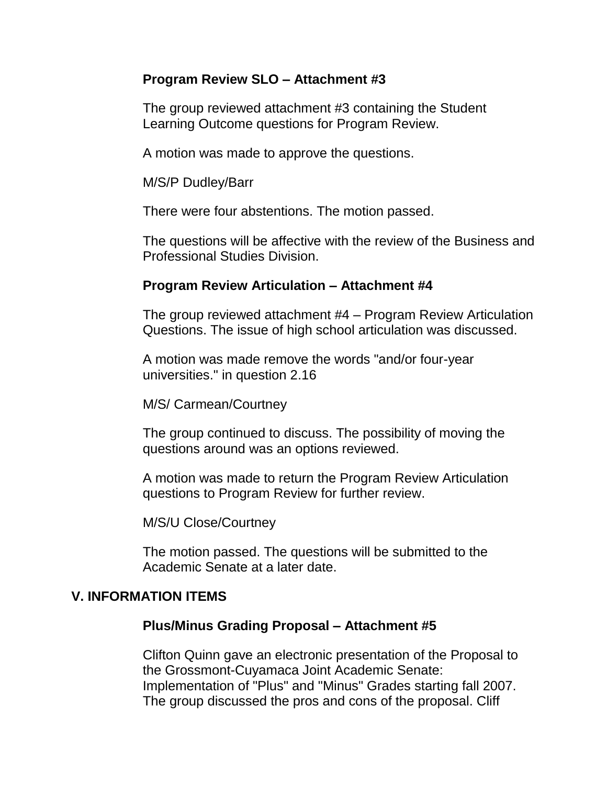#### **Program Review SLO – Attachment #3**

The group reviewed attachment #3 containing the Student Learning Outcome questions for Program Review.

A motion was made to approve the questions.

M/S/P Dudley/Barr

There were four abstentions. The motion passed.

The questions will be affective with the review of the Business and Professional Studies Division.

#### **Program Review Articulation – Attachment #4**

The group reviewed attachment #4 – Program Review Articulation Questions. The issue of high school articulation was discussed.

A motion was made remove the words "and/or four-year universities." in question 2.16

M/S/ Carmean/Courtney

The group continued to discuss. The possibility of moving the questions around was an options reviewed.

A motion was made to return the Program Review Articulation questions to Program Review for further review.

M/S/U Close/Courtney

The motion passed. The questions will be submitted to the Academic Senate at a later date.

#### **V. INFORMATION ITEMS**

#### **Plus/Minus Grading Proposal – Attachment #5**

Clifton Quinn gave an electronic presentation of the Proposal to the Grossmont-Cuyamaca Joint Academic Senate: Implementation of "Plus" and "Minus" Grades starting fall 2007. The group discussed the pros and cons of the proposal. Cliff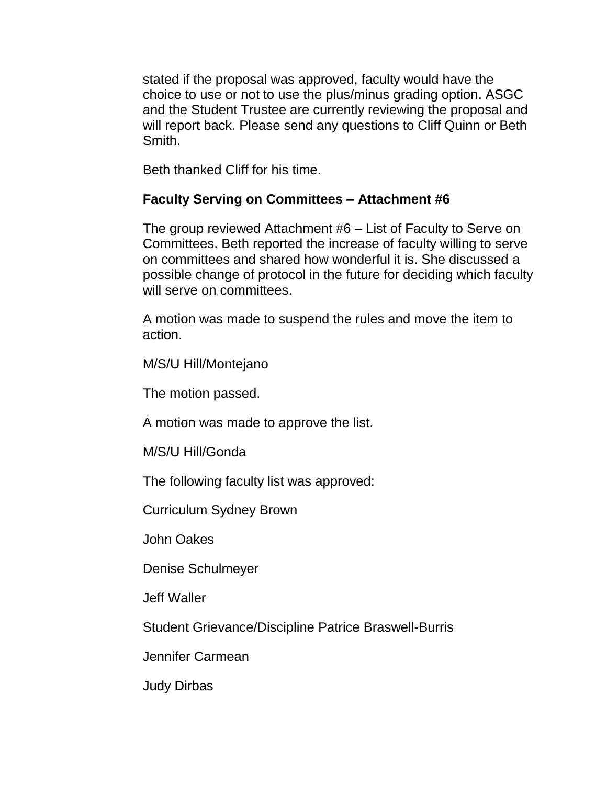stated if the proposal was approved, faculty would have the choice to use or not to use the plus/minus grading option. ASGC and the Student Trustee are currently reviewing the proposal and will report back. Please send any questions to Cliff Quinn or Beth Smith.

Beth thanked Cliff for his time.

#### **Faculty Serving on Committees – Attachment #6**

The group reviewed Attachment #6 – List of Faculty to Serve on Committees. Beth reported the increase of faculty willing to serve on committees and shared how wonderful it is. She discussed a possible change of protocol in the future for deciding which faculty will serve on committees.

A motion was made to suspend the rules and move the item to action.

M/S/U Hill/Montejano

The motion passed.

A motion was made to approve the list.

M/S/U Hill/Gonda

The following faculty list was approved:

Curriculum Sydney Brown

John Oakes

Denise Schulmeyer

Jeff Waller

Student Grievance/Discipline Patrice Braswell-Burris

Jennifer Carmean

Judy Dirbas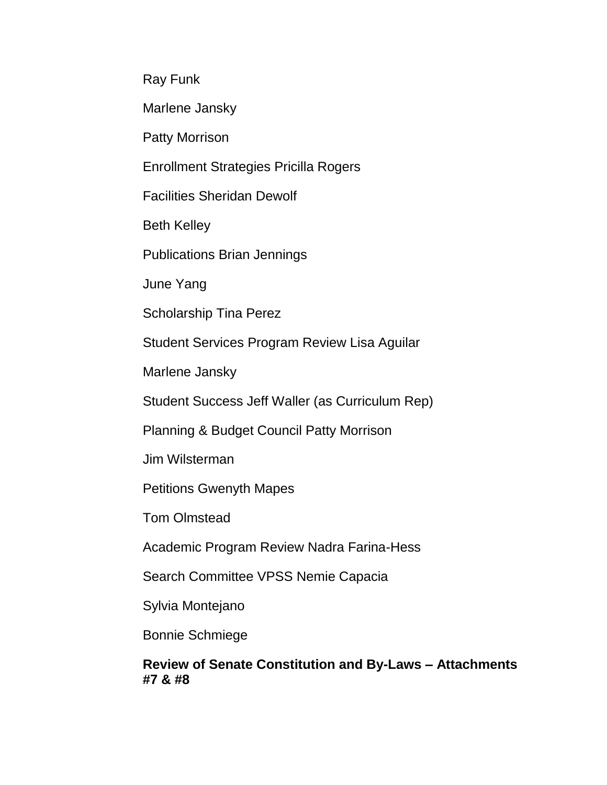Ray Funk

Marlene Jansky

Patty Morrison

Enrollment Strategies Pricilla Rogers

Facilities Sheridan Dewolf

Beth Kelley

Publications Brian Jennings

June Yang

Scholarship Tina Perez

Student Services Program Review Lisa Aguilar

Marlene Jansky

Student Success Jeff Waller (as Curriculum Rep)

Planning & Budget Council Patty Morrison

Jim Wilsterman

Petitions Gwenyth Mapes

Tom Olmstead

Academic Program Review Nadra Farina-Hess

Search Committee VPSS Nemie Capacia

Sylvia Montejano

Bonnie Schmiege

#### **Review of Senate Constitution and By-Laws – Attachments #7 & #8**